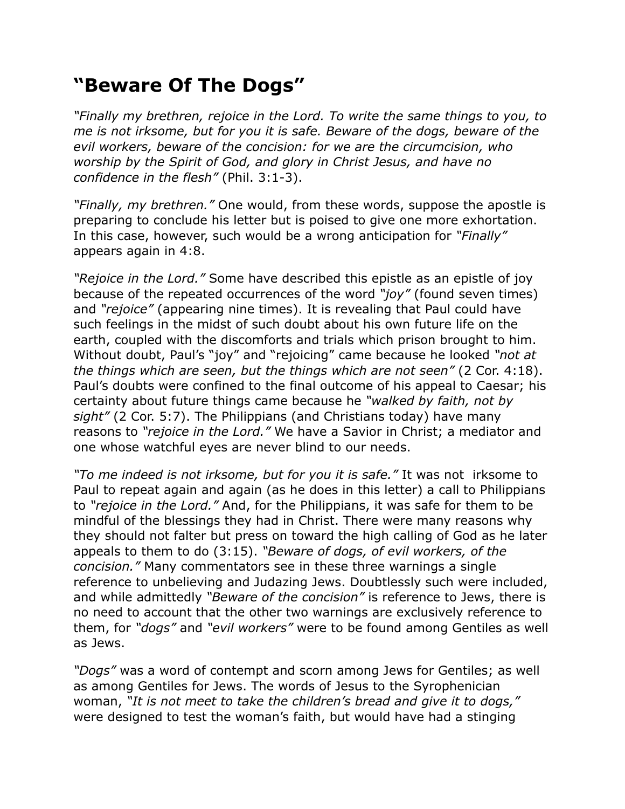## **"Beware Of The Dogs"**

*"Finally my brethren, rejoice in the Lord. To write the same things to you, to me is not irksome, but for you it is safe. Beware of the dogs, beware of the evil workers, beware of the concision: for we are the circumcision, who worship by the Spirit of God, and glory in Christ Jesus, and have no confidence in the flesh"* (Phil. 3:1-3).

*"Finally, my brethren."* One would, from these words, suppose the apostle is preparing to conclude his letter but is poised to give one more exhortation. In this case, however, such would be a wrong anticipation for *"Finally"*  appears again in 4:8.

*"Rejoice in the Lord."* Some have described this epistle as an epistle of joy because of the repeated occurrences of the word *"joy"* (found seven times) and *"rejoice"* (appearing nine times). It is revealing that Paul could have such feelings in the midst of such doubt about his own future life on the earth, coupled with the discomforts and trials which prison brought to him. Without doubt, Paul's "joy" and "rejoicing" came because he looked *"not at the things which are seen, but the things which are not seen"* (2 Cor. 4:18). Paul's doubts were confined to the final outcome of his appeal to Caesar; his certainty about future things came because he *"walked by faith, not by sight"* (2 Cor. 5:7). The Philippians (and Christians today) have many reasons to *"rejoice in the Lord."* We have a Savior in Christ; a mediator and one whose watchful eyes are never blind to our needs.

*"To me indeed is not irksome, but for you it is safe."* It was not irksome to Paul to repeat again and again (as he does in this letter) a call to Philippians to *"rejoice in the Lord."* And, for the Philippians, it was safe for them to be mindful of the blessings they had in Christ. There were many reasons why they should not falter but press on toward the high calling of God as he later appeals to them to do (3:15). *"Beware of dogs, of evil workers, of the concision."* Many commentators see in these three warnings a single reference to unbelieving and Judazing Jews. Doubtlessly such were included, and while admittedly *"Beware of the concision"* is reference to Jews, there is no need to account that the other two warnings are exclusively reference to them, for *"dogs"* and *"evil workers"* were to be found among Gentiles as well as Jews.

*"Dogs"* was a word of contempt and scorn among Jews for Gentiles; as well as among Gentiles for Jews. The words of Jesus to the Syrophenician woman, *"It is not meet to take the children's bread and give it to dogs,"* were designed to test the woman's faith, but would have had a stinging